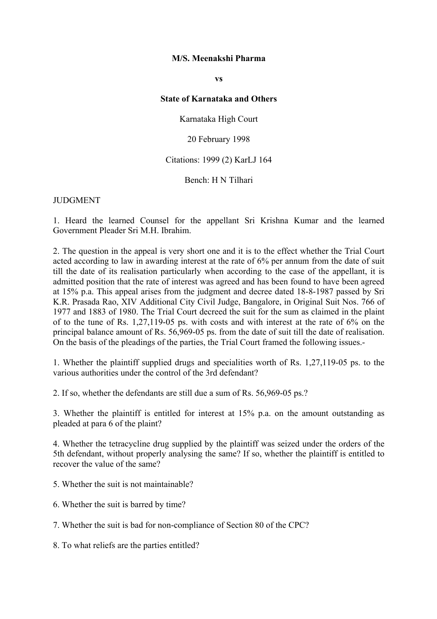## **M/S. Meenakshi Pharma**

**vs**

## **State of Karnataka and Others**

Karnataka High Court

20 February 1998

## Citations: 1999 (2) KarLJ 164

Bench: H N Tilhari

## **JUDGMENT**

1. Heard the learned Counsel for the appellant Sri Krishna Kumar and the learned Government Pleader Sri M.H. Ibrahim.

2. The question in the appeal is very short one and it is to the effect whether the Trial Court acted according to law in awarding interest at the rate of 6% per annum from the date of suit till the date of its realisation particularly when according to the case of the appellant, it is admitted position that the rate of interest was agreed and has been found to have been agreed at 15% p.a. This appeal arises from the judgment and decree dated 18-8-1987 passed by Sri K.R. Prasada Rao, XIV Additional City Civil Judge, Bangalore, in Original Suit Nos. 766 of 1977 and 1883 of 1980. The Trial Court decreed the suit for the sum as claimed in the plaint of to the tune of Rs. 1,27,119-05 ps. with costs and with interest at the rate of 6% on the principal balance amount of Rs. 56,969-05 ps. from the date of suit till the date of realisation. On the basis of the pleadings of the parties, the Trial Court framed the following issues.-

1. Whether the plaintiff supplied drugs and specialities worth of Rs. 1,27,119-05 ps. to the various authorities under the control of the 3rd defendant?

2. If so, whether the defendants are still due a sum of Rs. 56,969-05 ps.?

3. Whether the plaintiff is entitled for interest at 15% p.a. on the amount outstanding as pleaded at para 6 of the plaint?

4. Whether the tetracycline drug supplied by the plaintiff was seized under the orders of the 5th defendant, without properly analysing the same? If so, whether the plaintiff is entitled to recover the value of the same?

- 5. Whether the suit is not maintainable?
- 6. Whether the suit is barred by time?
- 7. Whether the suit is bad for non-compliance of Section 80 of the CPC?

8. To what reliefs are the parties entitled?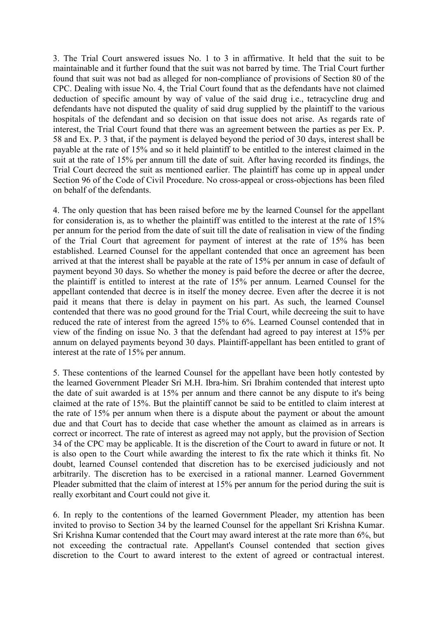3. The Trial Court answered issues No. 1 to 3 in affirmative. It held that the suit to be maintainable and it further found that the suit was not barred by time. The Trial Court further found that suit was not bad as alleged for non-compliance of provisions of Section 80 of the CPC. Dealing with issue No. 4, the Trial Court found that as the defendants have not claimed deduction of specific amount by way of value of the said drug i.e., tetracycline drug and defendants have not disputed the quality of said drug supplied by the plaintiff to the various hospitals of the defendant and so decision on that issue does not arise. As regards rate of interest, the Trial Court found that there was an agreement between the parties as per Ex. P. 58 and Ex. P. 3 that, if the payment is delayed beyond the period of 30 days, interest shall be payable at the rate of 15% and so it held plaintiff to be entitled to the interest claimed in the suit at the rate of 15% per annum till the date of suit. After having recorded its findings, the Trial Court decreed the suit as mentioned earlier. The plaintiff has come up in appeal under Section 96 of the Code of Civil Procedure. No cross-appeal or cross-objections has been filed on behalf of the defendants.

4. The only question that has been raised before me by the learned Counsel for the appellant for consideration is, as to whether the plaintiff was entitled to the interest at the rate of 15% per annum for the period from the date of suit till the date of realisation in view of the finding of the Trial Court that agreement for payment of interest at the rate of 15% has been established. Learned Counsel for the appellant contended that once an agreement has been arrived at that the interest shall be payable at the rate of 15% per annum in case of default of payment beyond 30 days. So whether the money is paid before the decree or after the decree, the plaintiff is entitled to interest at the rate of 15% per annum. Learned Counsel for the appellant contended that decree is in itself the money decree. Even after the decree it is not paid it means that there is delay in payment on his part. As such, the learned Counsel contended that there was no good ground for the Trial Court, while decreeing the suit to have reduced the rate of interest from the agreed 15% to 6%. Learned Counsel contended that in view of the finding on issue No. 3 that the defendant had agreed to pay interest at 15% per annum on delayed payments beyond 30 days. Plaintiff-appellant has been entitled to grant of interest at the rate of 15% per annum.

5. These contentions of the learned Counsel for the appellant have been hotly contested by the learned Government Pleader Sri M.H. Ibra-him. Sri Ibrahim contended that interest upto the date of suit awarded is at 15% per annum and there cannot be any dispute to it's being claimed at the rate of 15%. But the plaintiff cannot be said to be entitled to claim interest at the rate of 15% per annum when there is a dispute about the payment or about the amount due and that Court has to decide that case whether the amount as claimed as in arrears is correct or incorrect. The rate of interest as agreed may not apply, but the provision of Section 34 of the CPC may be applicable. It is the discretion of the Court to award in future or not. It is also open to the Court while awarding the interest to fix the rate which it thinks fit. No doubt, learned Counsel contended that discretion has to be exercised judiciously and not arbitrarily. The discretion has to be exercised in a rational manner. Learned Government Pleader submitted that the claim of interest at 15% per annum for the period during the suit is really exorbitant and Court could not give it.

6. In reply to the contentions of the learned Government Pleader, my attention has been invited to proviso to Section 34 by the learned Counsel for the appellant Sri Krishna Kumar. Sri Krishna Kumar contended that the Court may award interest at the rate more than 6%, but not exceeding the contractual rate. Appellant's Counsel contended that section gives discretion to the Court to award interest to the extent of agreed or contractual interest.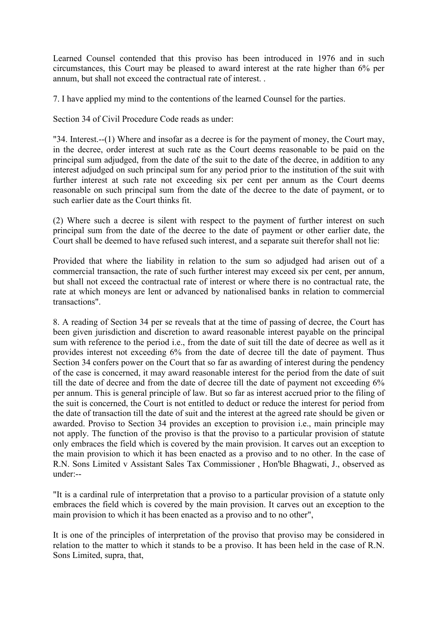Learned Counsel contended that this proviso has been introduced in 1976 and in such circumstances, this Court may be pleased to award interest at the rate higher than 6% per annum, but shall not exceed the contractual rate of interest. .

7. I have applied my mind to the contentions of the learned Counsel for the parties.

Section 34 of Civil Procedure Code reads as under:

"34. Interest.--(1) Where and insofar as a decree is for the payment of money, the Court may, in the decree, order interest at such rate as the Court deems reasonable to be paid on the principal sum adjudged, from the date of the suit to the date of the decree, in addition to any interest adjudged on such principal sum for any period prior to the institution of the suit with further interest at such rate not exceeding six per cent per annum as the Court deems reasonable on such principal sum from the date of the decree to the date of payment, or to such earlier date as the Court thinks fit.

(2) Where such a decree is silent with respect to the payment of further interest on such principal sum from the date of the decree to the date of payment or other earlier date, the Court shall be deemed to have refused such interest, and a separate suit therefor shall not lie:

Provided that where the liability in relation to the sum so adjudged had arisen out of a commercial transaction, the rate of such further interest may exceed six per cent, per annum, but shall not exceed the contractual rate of interest or where there is no contractual rate, the rate at which moneys are lent or advanced by nationalised banks in relation to commercial transactions".

8. A reading of Section 34 per se reveals that at the time of passing of decree, the Court has been given jurisdiction and discretion to award reasonable interest payable on the principal sum with reference to the period i.e., from the date of suit till the date of decree as well as it provides interest not exceeding 6% from the date of decree till the date of payment. Thus Section 34 confers power on the Court that so far as awarding of interest during the pendency of the case is concerned, it may award reasonable interest for the period from the date of suit till the date of decree and from the date of decree till the date of payment not exceeding 6% per annum. This is general principle of law. But so far as interest accrued prior to the filing of the suit is concerned, the Court is not entitled to deduct or reduce the interest for period from the date of transaction till the date of suit and the interest at the agreed rate should be given or awarded. Proviso to Section 34 provides an exception to provision i.e., main principle may not apply. The function of the proviso is that the proviso to a particular provision of statute only embraces the field which is covered by the main provision. It carves out an exception to the main provision to which it has been enacted as a proviso and to no other. In the case of R.N. Sons Limited v Assistant Sales Tax Commissioner , Hon'ble Bhagwati, J., observed as under:--

"It is a cardinal rule of interpretation that a proviso to a particular provision of a statute only embraces the field which is covered by the main provision. It carves out an exception to the main provision to which it has been enacted as a proviso and to no other",

It is one of the principles of interpretation of the proviso that proviso may be considered in relation to the matter to which it stands to be a proviso. It has been held in the case of R.N. Sons Limited, supra, that,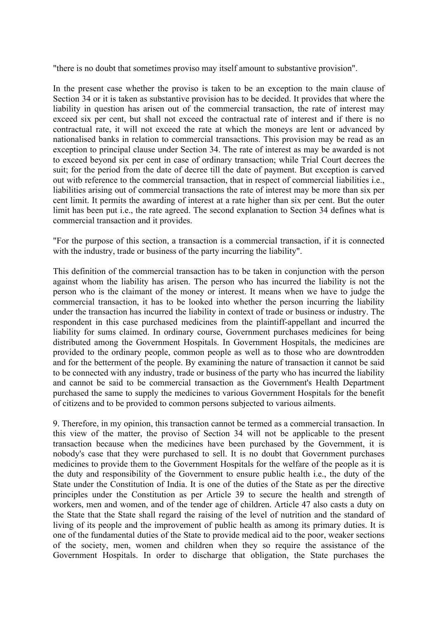"there is no doubt that sometimes proviso may itself amount to substantive provision".

In the present case whether the proviso is taken to be an exception to the main clause of Section 34 or it is taken as substantive provision has to be decided. It provides that where the liability in question has arisen out of the commercial transaction, the rate of interest may exceed six per cent, but shall not exceed the contractual rate of interest and if there is no contractual rate, it will not exceed the rate at which the moneys are lent or advanced by nationalised banks in relation to commercial transactions. This provision may be read as an exception to principal clause under Section 34. The rate of interest as may be awarded is not to exceed beyond six per cent in case of ordinary transaction; while Trial Court decrees the suit; for the period from the date of decree till the date of payment. But exception is carved out witb reference to the commercial transaction, that in respect of commercial liabilities i.e., liabilities arising out of commercial transactions the rate of interest may be more than six per cent limit. It permits the awarding of interest at a rate higher than six per cent. But the outer limit has been put i.e., the rate agreed. The second explanation to Section 34 defines what is commercial transaction and it provides.

"For the purpose of this section, a transaction is a commercial transaction, if it is connected with the industry, trade or business of the party incurring the liability".

This definition of the commercial transaction has to be taken in conjunction with the person against whom the liability has arisen. The person who has incurred the liability is not the person who is the claimant of the money or interest. It means when we have to judge the commercial transaction, it has to be looked into whether the person incurring the liability under the transaction has incurred the liability in context of trade or business or industry. The respondent in this case purchased medicines from the plaintiff-appellant and incurred the liability for sums claimed. In ordinary course, Government purchases medicines for being distributed among the Government Hospitals. In Government Hospitals, the medicines are provided to the ordinary people, common people as well as to those who are downtrodden and for the betterment of the people. By examining the nature of transaction it cannot be said to be connected with any industry, trade or business of the party who has incurred the liability and cannot be said to be commercial transaction as the Government's Health Department purchased the same to supply the medicines to various Government Hospitals for the benefit of citizens and to be provided to common persons subjected to various ailments.

9. Therefore, in my opinion, this transaction cannot be termed as a commercial transaction. In this view of the matter, the proviso of Section 34 will not be applicable to the present transaction because when the medicines have been purchased by the Government, it is nobody's case that they were purchased to sell. It is no doubt that Government purchases medicines to provide them to the Government Hospitals for the welfare of the people as it is the duty and responsibility of the Government to ensure public health i.e., the duty of the State under the Constitution of India. It is one of the duties of the State as per the directive principles under the Constitution as per Article 39 to secure the health and strength of workers, men and women, and of the tender age of children. Article 47 also casts a duty on the State that the State shall regard the raising of the level of nutrition and the standard of living of its people and the improvement of public health as among its primary duties. It is one of the fundamental duties of the State to provide medical aid to the poor, weaker sections of the society, men, women and children when they so require the assistance of the Government Hospitals. In order to discharge that obligation, the State purchases the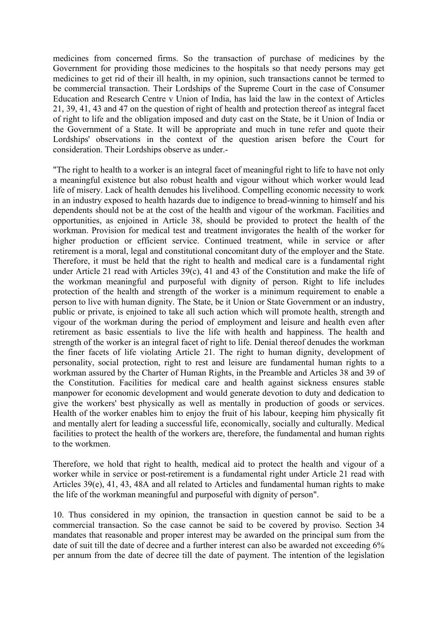medicines from concerned firms. So the transaction of purchase of medicines by the Government for providing those medicines to the hospitals so that needy persons may get medicines to get rid of their ill health, in my opinion, such transactions cannot be termed to be commercial transaction. Their Lordships of the Supreme Court in the case of Consumer Education and Research Centre v Union of India, has laid the law in the context of Articles 21, 39, 41, 43 and 47 on the question of right of health and protection thereof as integral facet of right to life and the obligation imposed and duty cast on the State, be it Union of India or the Government of a State. It will be appropriate and much in tune refer and quote their Lordships' observations in the context of the question arisen before the Court for consideration. Their Lordships observe as under.-

"The right to health to a worker is an integral facet of meaningful right to life to have not only a meaningful existence but also robust health and vigour without which worker would lead life of misery. Lack of health denudes his livelihood. Compelling economic necessity to work in an industry exposed to health hazards due to indigence to bread-winning to himself and his dependents should not be at the cost of the health and vigour of the workman. Facilities and opportunities, as enjoined in Article 38, should be provided to protect the health of the workman. Provision for medical test and treatment invigorates the health of the worker for higher production or efficient service. Continued treatment, while in service or after retirement is a moral, legal and constitutional concomitant duty of the employer and the State. Therefore, it must be held that the right to health and medical care is a fundamental right under Article 21 read with Articles 39(c), 41 and 43 of the Constitution and make the life of the workman meaningful and purposeful with dignity of person. Right to life includes protection of the health and strength of the worker is a minimum requirement to enable a person to live with human dignity. The State, be it Union or State Government or an industry, public or private, is enjoined to take all such action which will promote health, strength and vigour of the workman during the period of employment and leisure and health even after retirement as basic essentials to live the life with health and happiness. The health and strength of the worker is an integral facet of right to life. Denial thereof denudes the workman the finer facets of life violating Article 21. The right to human dignity, development of personality, social protection, right to rest and leisure are fundamental human rights to a workman assured by the Charter of Human Rights, in the Preamble and Articles 38 and 39 of the Constitution. Facilities for medical care and health against sickness ensures stable manpower for economic development and would generate devotion to duty and dedication to give the workers' best physically as well as mentally in production of goods or services. Health of the worker enables him to enjoy the fruit of his labour, keeping him physically fit and mentally alert for leading a successful life, economically, socially and culturally. Medical facilities to protect the health of the workers are, therefore, the fundamental and human rights to the workmen.

Therefore, we hold that right to health, medical aid to protect the health and vigour of a worker while in service or post-retirement is a fundamental right under Article 21 read with Articles 39(e), 41, 43, 48A and all related to Articles and fundamental human rights to make the life of the workman meaningful and purposeful with dignity of person".

10. Thus considered in my opinion, the transaction in question cannot be said to be a commercial transaction. So the case cannot be said to be covered by proviso. Section 34 mandates that reasonable and proper interest may be awarded on the principal sum from the date of suit till the date of decree and a further interest can also be awarded not exceeding 6% per annum from the date of decree till the date of payment. The intention of the legislation